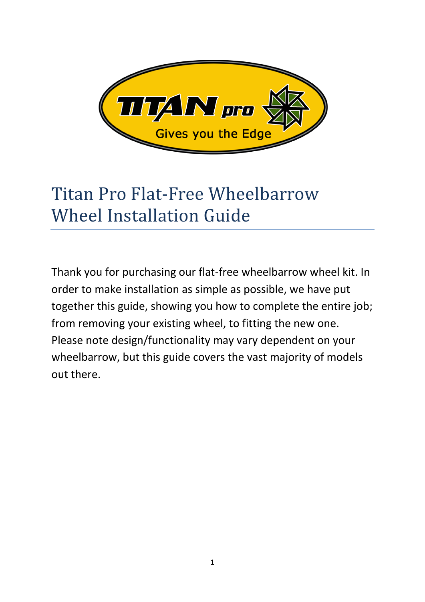

# Titan Pro Flat-Free Wheelbarrow Wheel Installation Guide

Thank you for purchasing our flat-free wheelbarrow wheel kit. In order to make installation as simple as possible, we have put together this guide, showing you how to complete the entire job; from removing your existing wheel, to fitting the new one. Please note design/functionality may vary dependent on your wheelbarrow, but this guide covers the vast majority of models out there.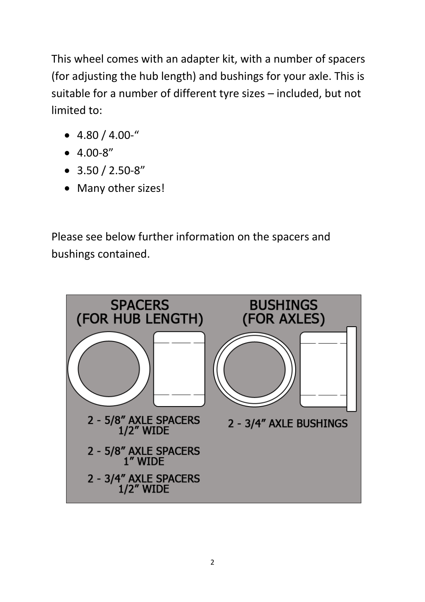This wheel comes with an adapter kit, with a number of spacers (for adjusting the hub length) and bushings for your axle. This is suitable for a number of different tyre sizes – included, but not limited to:

- $-4.80 / 4.00$ -"
- $-4.00-8''$
- $\bullet$  3.50 / 2.50-8"
- Many other sizes!

Please see below further information on the spacers and bushings contained.

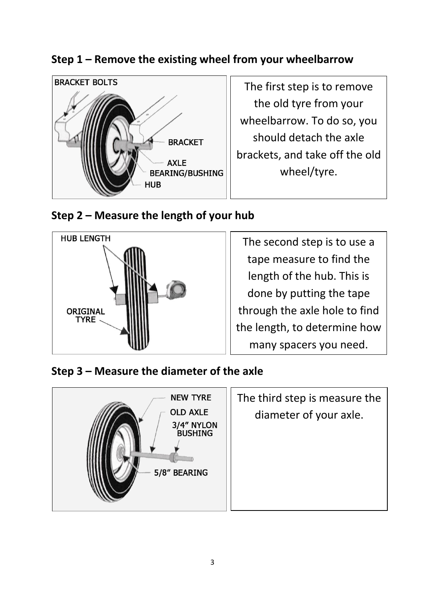## **Step 1 – Remove the existing wheel from your wheelbarrow**



The first step is to remove the old tyre from your wheelbarrow. To do so, you should detach the axle brackets, and take off the old wheel/tyre.

#### **Step 2 – Measure the length of your hub**



The second step is to use a tape measure to find the length of the hub. This is done by putting the tape through the axle hole to find the length, to determine how many spacers you need.

#### **Step 3 – Measure the diameter of the axle**



| The third step is measure the |
|-------------------------------|
| diameter of your axle.        |
|                               |
|                               |
|                               |